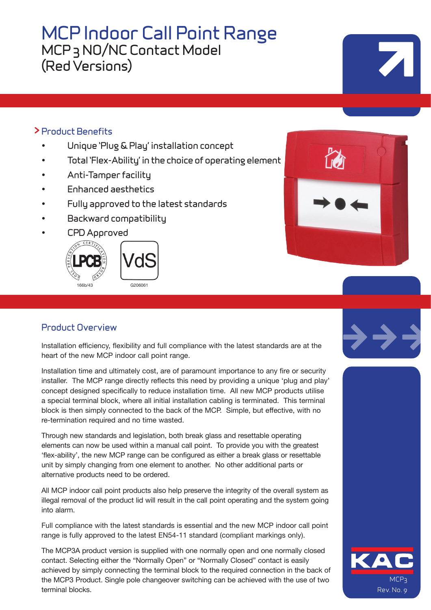# **MCP Indoor Call Point Range MCP 3 NO/NC Contact Model (Red Versions)**

### **> Product Benefits**

- **• Unique 'Plug & Play' installation concept**
- **• Total 'Flex-Ability' in the choice of operating element**
- **• Anti-Tamper facility**
- **• Enhanced aesthetics**
- **• Fully approved to the latest standards**
- **• Backward compatibility**
- **• CPD Approved**



# **Product Overview**

Installation efficiency, flexibility and full compliance with the latest standards are at the heart of the new MCP indoor call point range.

Installation time and ultimately cost, are of paramount importance to any fire or security installer. The MCP range directly reflects this need by providing a unique 'plug and play' concept designed specifically to reduce installation time. All new MCP products utilise a special terminal block, where all initial installation cabling is terminated. This terminal block is then simply connected to the back of the MCP. Simple, but effective, with no re-termination required and no time wasted.

Through new standards and legislation, both break glass and resettable operating elements can now be used within a manual call point. To provide you with the greatest 'flex-ability', the new MCP range can be configured as either a break glass or resettable unit by simply changing from one element to another. No other additional parts or alternative products need to be ordered.

All MCP indoor call point products also help preserve the integrity of the overall system as illegal removal of the product lid will result in the call point operating and the system going into alarm.

Full compliance with the latest standards is essential and the new MCP indoor call point range is fully approved to the latest EN54-11 standard (compliant markings only).

The MCP3A product version is supplied with one normally open and one normally closed contact. Selecting either the "Normally Open" or "Normally Closed" contact is easily achieved by simply connecting the terminal block to the required connection in the back of the MCP3 Product. Single pole changeover switching can be achieved with the use of two terminal blocks.